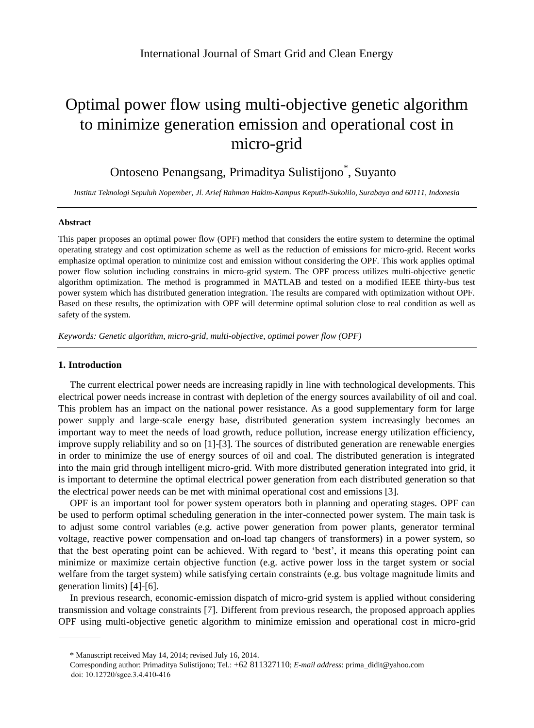# Optimal power flow using multi-objective genetic algorithm to minimize generation emission and operational cost in micro-grid

# Ontoseno Penangsang, Primaditya Sulistijono\*, Suyanto

*Institut Teknologi Sepuluh Nopember, Jl. Arief Rahman Hakim-Kampus Keputih-Sukolilo, Surabaya and 60111, Indonesia*

#### **Abstract**

This paper proposes an optimal power flow (OPF) method that considers the entire system to determine the optimal operating strategy and cost optimization scheme as well as the reduction of emissions for micro-grid. Recent works emphasize optimal operation to minimize cost and emission without considering the OPF. This work applies optimal power flow solution including constrains in micro-grid system. The OPF process utilizes multi-objective genetic algorithm optimization. The method is programmed in MATLAB and tested on a modified IEEE thirty-bus test power system which has distributed generation integration. The results are compared with optimization without OPF. Based on these results, the optimization with OPF will determine optimal solution close to real condition as well as safety of the system.

*Keywords: Genetic algorithm, micro-grid, multi-objective, optimal power flow (OPF)*

# **1. Introduction**

The current electrical power needs are increasing rapidly in line with technological developments. This electrical power needs increase in contrast with depletion of the energy sources availability of oil and coal. This problem has an impact on the national power resistance. As a good supplementary form for large power supply and large-scale energy base, distributed generation system increasingly becomes an important way to meet the needs of load growth, reduce pollution, increase energy utilization efficiency, improve supply reliability and so on [1]-[3]. The sources of distributed generation are renewable energies in order to minimize the use of energy sources of oil and coal. The distributed generation is integrated into the main grid through intelligent micro-grid. With more distributed generation integrated into grid, it is important to determine the optimal electrical power generation from each distributed generation so that the electrical power needs can be met with minimal operational cost and emissions [3].

OPF is an important tool for power system operators both in planning and operating stages. OPF can be used to perform optimal scheduling generation in the inter-connected power system. The main task is to adjust some control variables (e.g. active power generation from power plants, generator terminal voltage, reactive power compensation and on-load tap changers of transformers) in a power system, so that the best operating point can be achieved. With regard to 'best', it means this operating point can minimize or maximize certain objective function (e.g. active power loss in the target system or social welfare from the target system) while satisfying certain constraints (e.g. bus voltage magnitude limits and generation limits) [4]-[6].

In previous research, economic-emission dispatch of micro-grid system is applied without considering transmission and voltage constraints [7]. Different from previous research, the proposed approach applies OPF using multi-objective genetic algorithm to minimize emission and operational cost in micro-grid

<sup>\*</sup> Manuscript received May 14, 2014; revised July 16, 2014.

Corresponding author: Primaditya Sulistijono; Tel.: +62 811327110; *E-mail address*: prima\_didit@yahoo.com doi: 10.12720/sgce.3.4.410-416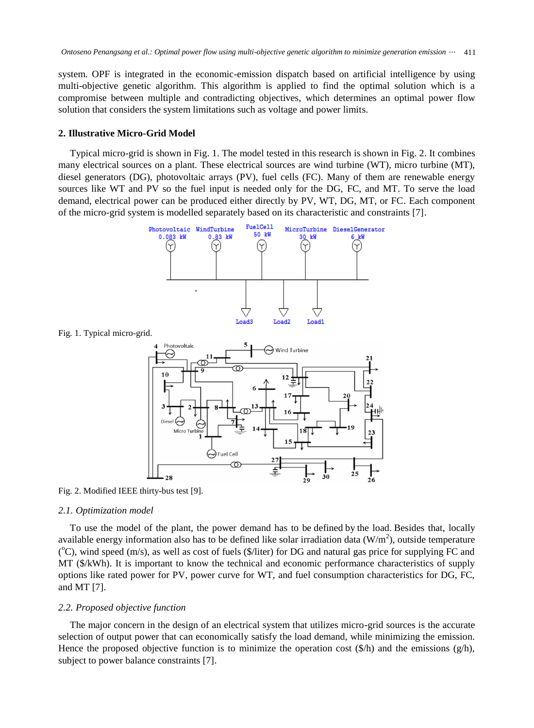system. OPF is integrated in the economic-emission dispatch based on artificial intelligence by using multi-objective genetic algorithm. This algorithm is applied to find the optimal solution which is a compromise between multiple and contradicting objectives, which determines an optimal power flow solution that considers the system limitations such as voltage and power limits.

#### **2. Illustrative Micro-Grid Model**

Typical micro-grid is shown in Fig. 1. The model tested in this research is shown in Fig. 2. It combines many electrical sources on a plant. These electrical sources are wind turbine (WT), micro turbine (MT), diesel generators (DG), photovoltaic arrays (PV), fuel cells (FC). Many of them are renewable energy sources like WT and PV so the fuel input is needed only for the DG, FC, and MT. To serve the load demand, electrical power can be produced either directly by PV, WT, DG, MT, or FC. Each component of the micro-grid system is modelled separately based on its characteristic and constraints [7].



Fig. 1. Typical micro-grid.



Fig. 2. Modified IEEE thirty-bus test [9].

#### *2.1. Optimization model*

To use the model of the plant, the power demand has to be defined by the load. Besides that, locally available energy information also has to be defined like solar irradiation data  $(W/m<sup>2</sup>)$ , outside temperature (°C), wind speed (m/s), as well as cost of fuels (\$/liter) for DG and natural gas price for supplying FC and MT (\$/kWh). It is important to know the technical and economic performance characteristics of supply options like rated power for PV, power curve for WT, and fuel consumption characteristics for DG, FC, and MT [7].

# *2.2. Proposed objective function*

The major concern in the design of an electrical system that utilizes micro-grid sources is the accurate selection of output power that can economically satisfy the load demand, while minimizing the emission. Hence the proposed objective function is to minimize the operation cost  $(\frac{6}{h})$  and the emissions  $(\frac{g}{h})$ , subject to power balance constraints [7].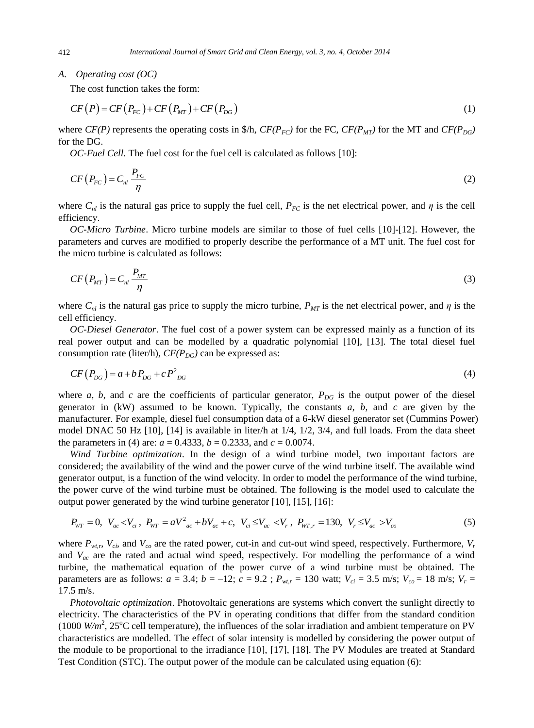*A. Operating cost (OC)*

The cost function takes the form:

$$
CF(P) = CF(P_{FC}) + CF(P_{MT}) + CF(P_{DG})
$$
\n<sup>(1)</sup>

where  $CF(P)$  represents the operating costs in \$/h,  $CF(P_{FC})$  for the FC,  $CF(P_{MT})$  for the MT and  $CF(P_{DG})$ for the DG.

*OC-Fuel Cell*. The fuel cost for the fuel cell is calculated as follows [10]:

$$
CF(P_{FC}) = C_{nl} \frac{P_{FC}}{\eta}
$$
 (2)

where  $C_{nl}$  is the natural gas price to supply the fuel cell,  $P_{FC}$  is the net electrical power, and  $\eta$  is the cell efficiency.

*OC-Micro Turbine*. Micro turbine models are similar to those of fuel cells [10]-[12]. However, the parameters and curves are modified to properly describe the performance of a MT unit. The fuel cost for the micro turbine is calculated as follows:

$$
CF(P_{MT}) = C_{nl} \frac{P_{MT}}{\eta}
$$
 (3)

where  $C_{nl}$  is the natural gas price to supply the micro turbine,  $P_{MT}$  is the net electrical power, and  $\eta$  is the cell efficiency.

*OC-Diesel Generator*. The fuel cost of a power system can be expressed mainly as a function of its real power output and can be modelled by a quadratic polynomial [10], [13]. The total diesel fuel consumption rate (liter/h),  $CF(P_{DG})$  can be expressed as:

$$
CF(P_{DG}) = a + bP_{DG} + cP_{DG}^2 \tag{4}
$$

where *a*, *b*, and *c* are the coefficients of particular generator,  $P_{DG}$  is the output power of the diesel generator in (kW) assumed to be known. Typically, the constants *a*, *b*, and *c* are given by the manufacturer. For example, diesel fuel consumption data of a 6-kW diesel generator set (Cummins Power) model DNAC 50 Hz  $[10]$ ,  $[14]$  is available in liter/h at  $1/4$ ,  $1/2$ ,  $3/4$ , and full loads. From the data sheet the parameters in (4) are:  $a = 0.4333$ ,  $b = 0.2333$ , and  $c = 0.0074$ .

*Wind Turbine optimization*. In the design of a wind turbine model, two important factors are considered; the availability of the wind and the power curve of the wind turbine itself. The available wind generator output, is a function of the wind velocity. In order to model the performance of the wind turbine, the power curve of the wind turbine must be obtained. The following is the model used to calculate the output power generated by the wind turbine generator [10], [15], [16]:

$$
P_{WT} = 0, \ \ V_{ac} < V_{ci}, \ P_{WT} = aV_{ac}^2 + bV_{ac} + c, \ \ V_{ci} \le V_{ac} < V_r, \ P_{WT,r} = 130, \ \ V_r \le V_{ac} > V_{co} \tag{5}
$$

where  $P_{wt,r}$ ,  $V_{ci}$ , and  $V_{co}$  are the rated power, cut-in and cut-out wind speed, respectively. Furthermore,  $V_r$ and *Vac* are the rated and actual wind speed, respectively. For modelling the performance of a wind turbine, the mathematical equation of the power curve of a wind turbine must be obtained. The parameters are as follows:  $a = 3.4$ ;  $b = -12$ ;  $c = 9.2$ ;  $P_{wt,r} = 130$  watt;  $V_{ci} = 3.5$  m/s;  $V_{co} = 18$  m/s;  $V_r =$ 17.5 m/s.

*Photovoltaic optimization*. Photovoltaic generations are systems which convert the sunlight directly to electricity. The characteristics of the PV in operating conditions that differ from the standard condition (1000  $W/m^2$ , 25<sup>o</sup>C cell temperature), the influences of the solar irradiation and ambient temperature on PV characteristics are modelled. The effect of solar intensity is modelled by considering the power output of the module to be proportional to the irradiance [10], [17], [18]. The PV Modules are treated at Standard Test Condition (STC). The output power of the module can be calculated using equation (6):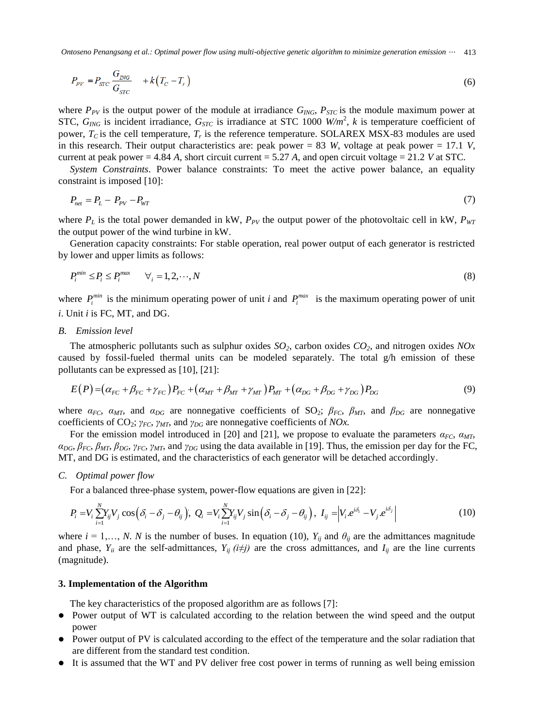*Ontoseno Penangsang et al.: Optimal power flow using multi-objective genetic algorithm to minimize generation emission* <sup>⋯</sup> 413

$$
P_{\text{PV}} = P_{\text{STC}} \frac{G_{\text{ING}}}{G_{\text{STC}}} + k(T_{\text{C}} - T_{\text{r}}) \tag{6}
$$

where  $P_{PV}$  is the output power of the module at irradiance  $G_{ING}$ ,  $P_{STC}$  is the module maximum power at STC, *GING* is incident irradiance, *GSTC* is irradiance at STC 1000 *W/m*<sup>2</sup> , *k* is temperature coefficient of power,  $T_c$  is the cell temperature,  $T_r$  is the reference temperature. SOLAREX MSX-83 modules are used in this research. Their output characteristics are: peak power  $= 83$  *W*, voltage at peak power  $= 17.1$  *V*, current at peak power  $= 4.84$  *A*, short circuit current  $= 5.27$  *A*, and open circuit voltage  $= 21.2$  *V* at STC.

*System Constraints*. Power balance constraints: To meet the active power balance, an equality constraint is imposed [10]:

$$
P_{net} = P_L - P_{PV} - P_{WT} \tag{7}
$$

where  $P_L$  is the total power demanded in kW,  $P_{PV}$  the output power of the photovoltaic cell in kW,  $P_{WT}$ the output power of the wind turbine in kW.

Generation capacity constraints: For stable operation, real power output of each generator is restricted by lower and upper limits as follows:

$$
P_i^{\min} \le P_i \le P_i^{\max} \qquad \forall_i = 1, 2, \cdots, N \tag{8}
$$

where  $P_i^{min}$  is the minimum operating power of unit *i* and  $P_i^{max}$  is the maximum operating power of unit *i*. Unit *i* is FC, MT, and DG.

#### *B. Emission level*

The atmospheric pollutants such as sulphur oxides *SO2*, carbon oxides *CO2*, and nitrogen oxides *NOx*  caused by fossil-fueled thermal units can be modeled separately. The total g/h emission of these pollutants can be expressed as [10], [21]:

$$
E(P) = (\alpha_{FC} + \beta_{FC} + \gamma_{FC})P_{FC} + (\alpha_{MT} + \beta_{MT} + \gamma_{MT})P_{MT} + (\alpha_{DG} + \beta_{DG} + \gamma_{DG})P_{DG}
$$
(9)

where  $\alpha_{FC}$ ,  $\alpha_{MT}$ , and  $\alpha_{DG}$  are nonnegative coefficients of SO<sub>2</sub>;  $\beta_{FC}$ ,  $\beta_{MT}$ , and  $\beta_{DG}$  are nonnegative coefficients of CO2; *γFC*, *γMT*, and *γDG* are nonnegative coefficients of *NOx.*

For the emission model introduced in [20] and [21], we propose to evaluate the parameters  $\alpha_{FC}$ ,  $\alpha_{MT}$ ,  $\alpha_{DG}$ ,  $\beta_{FC}$ ,  $\beta_{MT}$ ,  $\beta_{DG}$ ,  $\gamma_{FC}$ ,  $\gamma_{MT}$ , and  $\gamma_{DG}$  using the data available in [19]. Thus, the emission per day for the FC, MT, and DG is estimated, and the characteristics of each generator will be detached accordingly.

# *C. Optimal power flow*

For a balanced three-phase system, power-flow equations are given in [22]:

$$
P_i = V_i \sum_{i=1}^N Y_{ij} V_j \cos\left(\delta_i - \delta_j - \theta_{ij}\right), \ Q_i = V_i \sum_{i=1}^N Y_{ij} V_j \sin\left(\delta_i - \delta_j - \theta_{ij}\right), \ I_{ij} = \left|V_i e^{i\delta_i} - V_j e^{i\delta_j}\right| \tag{10}
$$

where  $i = 1,..., N$ . *N* is the number of buses. In equation (10),  $Y_{ij}$  and  $\theta_{ij}$  are the admittances magnitude and phase,  $Y_{ii}$  are the self-admittances,  $Y_{ii}$  ( $i \neq j$ ) are the cross admittances, and  $I_{ii}$  are the line currents (magnitude).

#### **3. Implementation of the Algorithm**

The key characteristics of the proposed algorithm are as follows [7]:

- Power output of WT is calculated according to the relation between the wind speed and the output power
- Power output of PV is calculated according to the effect of the temperature and the solar radiation that are different from the standard test condition.
- It is assumed that the WT and PV deliver free cost power in terms of running as well being emission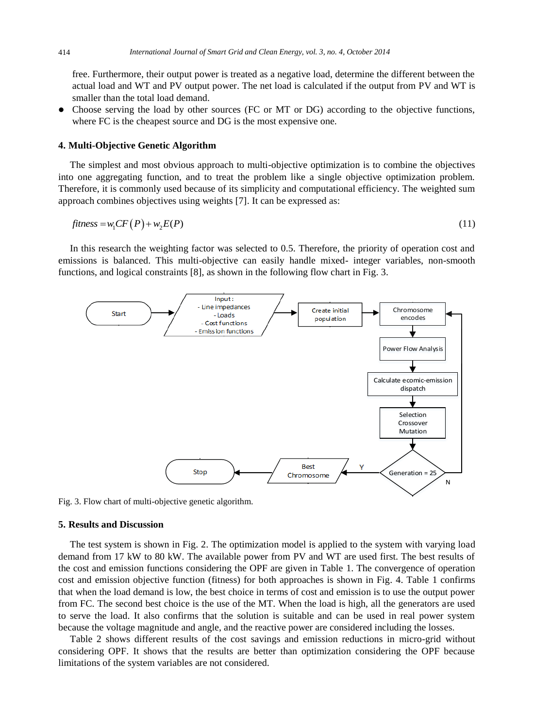free. Furthermore, their output power is treated as a negative load, determine the different between the actual load and WT and PV output power. The net load is calculated if the output from PV and WT is smaller than the total load demand.

• Choose serving the load by other sources (FC or MT or DG) according to the objective functions, where FC is the cheapest source and DG is the most expensive one.

#### **4. Multi-Objective Genetic Algorithm**

The simplest and most obvious approach to multi-objective optimization is to combine the objectives into one aggregating function, and to treat the problem like a single objective optimization problem. Therefore, it is commonly used because of its simplicity and computational efficiency. The weighted sum approach combines objectives using weights [7]. It can be expressed as: The *v* pine t  $\mathbf{m}$  .  $\mathbf{L}$  $cy.$  The weig

$$
fitness = w_1 CF(P) + w_2 E(P)
$$
\n(11)

In this research the weighting factor was selected to 0.5. Therefore, the priority of operation cost and emissions is balanced. This multi-objective can easily handle mixed- integer variables, non-smooth functions, and logical constraints [8], as shown in the following flow chart in Fig. 3. righlae n riables, r operati p<sub>opulati</sub>on



Fig. 3. Flow chart of multi-objective genetic algorithm.

#### **5. Results and Discussion**

from FC. The second best choice is the use of the MT. When the load is high, all the generators are used  $\mathbf{h}$  $\mathfrak{c}$ . The  $\partial \mathfrak{c}$ that when the load demand is low, the best choice in terms of cost and emission is to use the output power with demand from 17 kW to 80 kW. The available power from PV and WT are used first. The best results of 1 ac em with va cost and emission objective function (fitness) for both approaches is shown in Fig. 4. Table 1 confirms The test system is shown in Fig. 2. The optimization model is applied to the system with varying load the cost and emission functions considering the OPF are given in Table 1. The convergence of operation to serve the load. It also confirms that the solution is suitable and can be used in real power system because the voltage magnitude and angle, and the reactive power are considered including the losses.

Table 2 shows different results of the cost savings and emission reductions in micro-grid without considering OPF. It shows that the results are better than optimization considering the OPF because limitations of the system variables are not considered.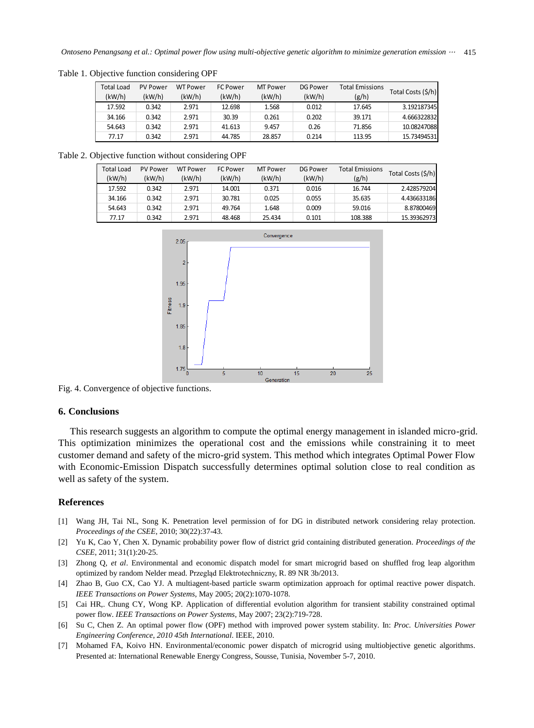| Total Load | <b>PV Power</b> | <b>WT Power</b> | <b>FC Power</b> | <b>MT Power</b> | DG Power | <b>Total Emissions</b> | Total Costs (\$/h) |
|------------|-----------------|-----------------|-----------------|-----------------|----------|------------------------|--------------------|
| (kW/h)     | (kW/h)          | (kW/h)          | (kW/h)          | (kW/h)          | (kW/h)   | (g/h)                  |                    |
| 17.592     | 0.342           | 2.971           | 12.698          | 1.568           | 0.012    | 17.645                 | 3.192187345        |
| 34.166     | 0.342           | 2.971           | 30.39           | 0.261           | 0.202    | 39.171                 | 4.666322832        |
| 54.643     | 0.342           | 2.971           | 41.613          | 9.457           | 0.26     | 71.856                 | 10.08247088        |
| 77.17      | 0.342           | 2.971           | 44.785          | 28.857          | 0.214    | 113.95                 | 15.73494531        |

Table 1. Objective function considering OPF

Table 2. Objective function without considering OPF

| <b>Total Load</b><br>(kW/h) | <b>PV Power</b><br>(kW/h) | <b>WT Power</b><br>(kW/h) | <b>FC Power</b><br>(kW/h) | MT Power<br>(kW/h) | <b>DG Power</b><br>(kW/h) | <b>Total Emissions</b><br>(g/h) | Total Costs (\$/h) |
|-----------------------------|---------------------------|---------------------------|---------------------------|--------------------|---------------------------|---------------------------------|--------------------|
| 17.592                      | 0.342                     | 2.971                     | 14.001                    | 0.371              | 0.016                     | 16.744                          | 2.428579204        |
| 34.166                      | 0.342                     | 2.971                     | 30.781                    | 0.025              | 0.055                     | 35.635                          | 4.436633186        |
| 54.643                      | 0.342                     | 2.971                     | 49.764                    | 1.648              | 0.009                     | 59.016                          | 8.87800469         |
| 77.17                       | 0.342                     | 2.971                     | 48.468                    | 25.434             | 0.101                     | 108.388                         | 15.39362973        |



Fig. 4. Convergence of objective functions.

# **6. Conclusions**

This research suggests an algorithm to compute the optimal energy management in islanded micro-grid. This optimization minimizes the operational cost and the emissions while constraining it to meet customer demand and safety of the micro-grid system. This method which integrates Optimal Power Flow with Economic-Emission Dispatch successfully determines optimal solution close to real condition as well as safety of the system.

### **References**

- [1] Wang JH, Tai NL, Song K. Penetration level permission of for DG in distributed network considering relay protection. *Proceedings of the CSEE*, 2010; 30(22):37-43.
- [2] Yu K, Cao Y, Chen X. Dynamic probability power flow of district grid containing distributed generation. *Proceedings of the CSEE*, 2011; 31(1):20-25.
- [3] Zhong Q, *et al*. Environmental and economic dispatch model for smart microgrid based on shuffled frog leap algorithm optimized by random Nelder mead. Przegląd Elektrotechniczny, R. 89 NR 3b/2013.
- [4] Zhao B, Guo CX, Cao YJ. A multiagent-based particle swarm optimization approach for optimal reactive power dispatch. *IEEE Transactions on Power Systems*, May 2005; 20(2):1070-1078.
- [5] Cai HR,. Chung CY, Wong KP. Application of differential evolution algorithm for transient stability constrained optimal power flow. *IEEE Transactions on Power Systems*, May 2007; 23(2):719-728.
- [6] Su C, Chen Z. An optimal power flow (OPF) method with improved power system stability. In: *Proc. Universities Power Engineering Conference, 2010 45th International*. IEEE, 2010.
- [7] Mohamed FA, Koivo HN. Environmental/economic power dispatch of microgrid using multiobjective genetic algorithms. Presented at: International Renewable Energy Congress, Sousse, Tunisia, November 5-7, 2010.